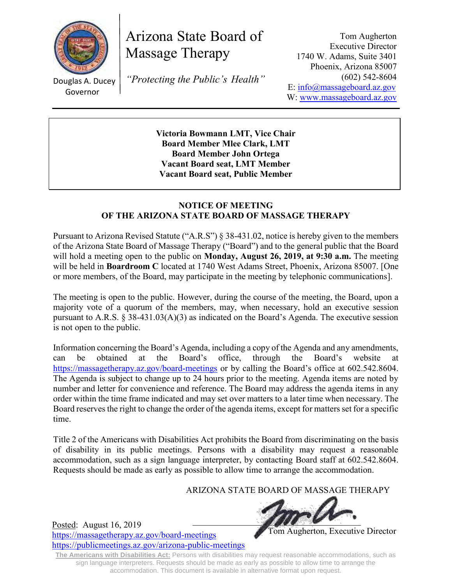

Arizona State Board of Massage Therapy

Douglas A. Ducey Governor

*"Protecting the Public's Health"*

Tom Augherton Executive Director 1740 W. Adams, Suite 3401 Phoenix, Arizona 85007 (602) 542-8604 E: [info@massageboard.az.gov](mailto:info@massageboard.az.gov) W: [www.massageboard.az.gov](http://www.massageboard.az.gov/)

**Victoria Bowmann LMT, Vice Chair Board Member Mlee Clark, LMT Board Member John Ortega Vacant Board seat, LMT Member Vacant Board seat, Public Member**

#### **NOTICE OF MEETING OF THE ARIZONA STATE BOARD OF MASSAGE THERAPY**

Pursuant to Arizona Revised Statute ("A.R.S") § 38-431.02, notice is hereby given to the members of the Arizona State Board of Massage Therapy ("Board") and to the general public that the Board will hold a meeting open to the public on **Monday, August 26, 2019, at 9:30 a.m.** The meeting will be held in **Boardroom C** located at 1740 West Adams Street, Phoenix, Arizona 85007. [One or more members, of the Board, may participate in the meeting by telephonic communications].

The meeting is open to the public. However, during the course of the meeting, the Board, upon a majority vote of a quorum of the members, may, when necessary, hold an executive session pursuant to A.R.S. § 38-431.03(A)(3) as indicated on the Board's Agenda. The executive session is not open to the public.

Information concerning the Board's Agenda, including a copy of the Agenda and any amendments, can be obtained at the Board's office, through the Board's website at <https://massagetherapy.az.gov/>board-meetings or by calling the Board's office at 602.542.8604. The Agenda is subject to change up to 24 hours prior to the meeting. Agenda items are noted by number and letter for convenience and reference. The Board may address the agenda items in any order within the time frame indicated and may set over matters to a later time when necessary. The Board reserves the right to change the order of the agenda items, except for matters set for a specific time.

Title 2 of the Americans with Disabilities Act prohibits the Board from discriminating on the basis of disability in its public meetings. Persons with a disability may request a reasonable accommodation, such as a sign language interpreter, by contacting Board staff at 602.542.8604. Requests should be made as early as possible to allow time to arrange the accommodation.

# ARIZONA STATE BOARD OF MASSAGE THERAPY



Posted: August 16, 2019 <https://massagetherapy.az.gov/board-meetings> <https://publicmeetings.az.gov/arizona-public-meetings>

Tom Augherton, Executive Director

**The Americans with Disabilities Act:** Persons with disabilities may request reasonable accommodations, such as sign language interpreters. Requests should be made as early as possible to allow time to arrange the accommodation. This document is available in alternative format upon request.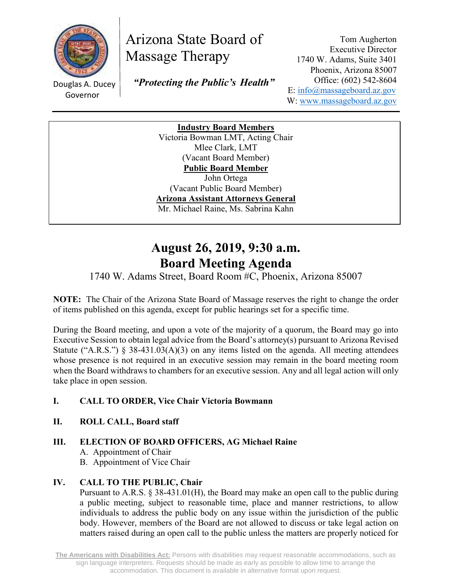

# Arizona State Board of Massage Therapy

Douglas A. Ducey Governor

 *"Protecting the Public's Health"*

Tom Augherton Executive Director 1740 W. Adams, Suite 3401 Phoenix, Arizona 85007 Office: (602) 542-8604 E: [info@massageboard.az.gov](mailto:info@massageboard.az.gov) W: [www.massageboard.az.gov](http://www.massageboard.az.gov/)

**Industry Board Members** Victoria Bowman LMT, Acting Chair Mlee Clark, LMT (Vacant Board Member) **Public Board Member**  John Ortega (Vacant Public Board Member) **Arizona Assistant Attorneys General** Mr. Michael Raine, Ms. Sabrina Kahn

# **August 26, 2019, 9:30 a.m. Board Meeting Agenda**

# 1740 W. Adams Street, Board Room #C, Phoenix, Arizona 85007

**NOTE:** The Chair of the Arizona State Board of Massage reserves the right to change the order of items published on this agenda, except for public hearings set for a specific time.

During the Board meeting, and upon a vote of the majority of a quorum, the Board may go into Executive Session to obtain legal advice from the Board's attorney(s) pursuant to Arizona Revised Statute ("A.R.S.") § 38-431.03(A)(3) on any items listed on the agenda. All meeting attendees whose presence is not required in an executive session may remain in the board meeting room when the Board withdraws to chambers for an executive session. Any and all legal action will only take place in open session.

# **I. CALL TO ORDER, Vice Chair Victoria Bowmann**

**II. ROLL CALL, Board staff**

# **III. ELECTION OF BOARD OFFICERS, AG Michael Raine**

- A. Appointment of Chair
- B. Appointment of Vice Chair

#### **IV. CALL TO THE PUBLIC, Chair**

Pursuant to A.R.S. § 38-431.01(H), the Board may make an open call to the public during a public meeting, subject to reasonable time, place and manner restrictions, to allow individuals to address the public body on any issue within the jurisdiction of the public body. However, members of the Board are not allowed to discuss or take legal action on matters raised during an open call to the public unless the matters are properly noticed for

**The Americans with Disabilities Act:** Persons with disabilities may request reasonable accommodations, such as sign language interpreters. Requests should be made as early as possible to allow time to arrange the accommodation. This document is available in alternative format upon request.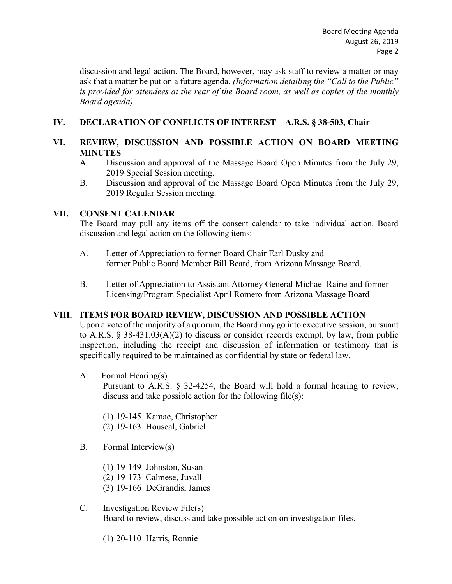discussion and legal action. The Board, however, may ask staff to review a matter or may ask that a matter be put on a future agenda. *(Information detailing the "Call to the Public" is provided for attendees at the rear of the Board room, as well as copies of the monthly Board agenda).* 

#### **IV. DECLARATION OF CONFLICTS OF INTEREST – A.R.S. § 38-503, Chair**

#### **VI. REVIEW, DISCUSSION AND POSSIBLE ACTION ON BOARD MEETING MINUTES**

- A. Discussion and approval of the Massage Board Open Minutes from the July 29, 2019 Special Session meeting.
- B. Discussion and approval of the Massage Board Open Minutes from the July 29, 2019 Regular Session meeting.

#### **VII. CONSENT CALENDAR**

The Board may pull any items off the consent calendar to take individual action. Board discussion and legal action on the following items:

- A. Letter of Appreciation to former Board Chair Earl Dusky and former Public Board Member Bill Beard, from Arizona Massage Board.
- B. Letter of Appreciation to Assistant Attorney General Michael Raine and former Licensing/Program Specialist April Romero from Arizona Massage Board

#### **VIII. ITEMS FOR BOARD REVIEW, DISCUSSION AND POSSIBLE ACTION**

Upon a vote of the majority of a quorum, the Board may go into executive session, pursuant to A.R.S. § 38-431.03(A)(2) to discuss or consider records exempt, by law, from public inspection, including the receipt and discussion of information or testimony that is specifically required to be maintained as confidential by state or federal law.

A. Formal Hearing(s)

Pursuant to A.R.S. § 32-4254, the Board will hold a formal hearing to review, discuss and take possible action for the following file(s):

- (1) 19-145 Kamae, Christopher
- (2) 19-163 Houseal, Gabriel
- B. Formal Interview(s)
	- (1) 19-149 Johnston, Susan
	- (2) 19-173 Calmese, Juvall
	- (3) 19-166 DeGrandis, James
- C. Investigation Review File(s) Board to review, discuss and take possible action on investigation files.
	- (1) 20-110 Harris, Ronnie